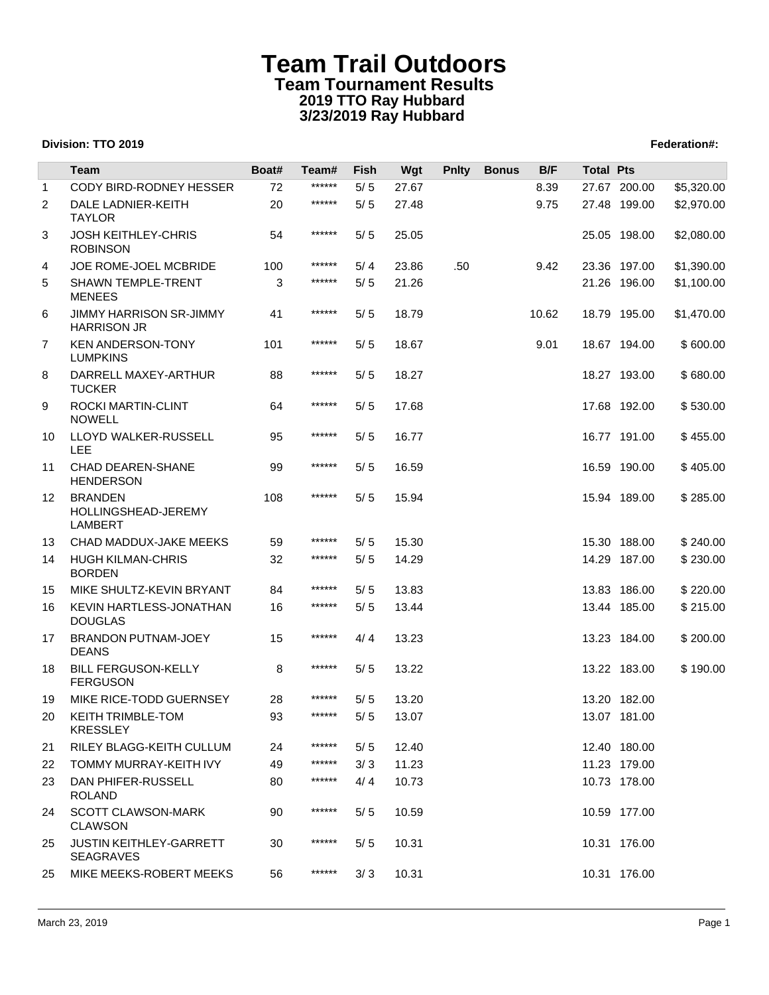|                 | Team                                                    | Boat# | Team#  | Fish  | Wgt   | <b>Pnlty</b>     | <b>Bonus</b> | B/F   | <b>Total Pts</b> |              |            |
|-----------------|---------------------------------------------------------|-------|--------|-------|-------|------------------|--------------|-------|------------------|--------------|------------|
| $\mathbf{1}$    | CODY BIRD-RODNEY HESSER                                 | 72    | ****** | 5/5   | 27.67 |                  |              | 8.39  |                  | 27.67 200.00 | \$5,320.00 |
| 2               | DALE LADNIER-KEITH<br><b>TAYLOR</b>                     | 20    | ****** | $5/5$ | 27.48 |                  |              | 9.75  |                  | 27.48 199.00 | \$2,970.00 |
| 3               | <b>JOSH KEITHLEY-CHRIS</b><br><b>ROBINSON</b>           | 54    | ****** | 5/5   | 25.05 |                  |              |       |                  | 25.05 198.00 | \$2,080.00 |
| 4               | <b>JOE ROME-JOEL MCBRIDE</b>                            | 100   | ****** | 5/4   | 23.86 | .50 <sub>1</sub> |              | 9.42  |                  | 23.36 197.00 | \$1,390.00 |
| 5               | <b>SHAWN TEMPLE-TRENT</b><br><b>MENEES</b>              | 3     | ****** | 5/5   | 21.26 |                  |              |       |                  | 21.26 196.00 | \$1,100.00 |
| 6               | JIMMY HARRISON SR-JIMMY<br><b>HARRISON JR</b>           | 41    | ****** | 5/5   | 18.79 |                  |              | 10.62 |                  | 18.79 195.00 | \$1,470.00 |
| $\overline{7}$  | <b>KEN ANDERSON-TONY</b><br><b>LUMPKINS</b>             | 101   | ****** | 5/5   | 18.67 |                  |              | 9.01  |                  | 18.67 194.00 | \$600.00   |
| 8               | DARRELL MAXEY-ARTHUR<br><b>TUCKER</b>                   | 88    | ****** | 5/5   | 18.27 |                  |              |       |                  | 18.27 193.00 | \$680.00   |
| 9               | ROCKI MARTIN-CLINT<br><b>NOWELL</b>                     | 64    | ****** | 5/5   | 17.68 |                  |              |       |                  | 17.68 192.00 | \$530.00   |
| 10              | LLOYD WALKER-RUSSELL<br><b>LEE</b>                      | 95    | ****** | 5/5   | 16.77 |                  |              |       |                  | 16.77 191.00 | \$455.00   |
| 11              | <b>CHAD DEAREN-SHANE</b><br><b>HENDERSON</b>            | 99    | ****** | 5/5   | 16.59 |                  |              |       |                  | 16.59 190.00 | \$405.00   |
| 12 <sup>°</sup> | <b>BRANDEN</b><br>HOLLINGSHEAD-JEREMY<br><b>LAMBERT</b> | 108   | ****** | 5/5   | 15.94 |                  |              |       |                  | 15.94 189.00 | \$285.00   |
| 13              | CHAD MADDUX-JAKE MEEKS                                  | 59    | ****** | 5/5   | 15.30 |                  |              |       |                  | 15.30 188.00 | \$240.00   |
| 14              | <b>HUGH KILMAN-CHRIS</b><br><b>BORDEN</b>               | 32    | ****** | 5/5   | 14.29 |                  |              |       |                  | 14.29 187.00 | \$230.00   |
| 15              | MIKE SHULTZ-KEVIN BRYANT                                | 84    | ****** | 5/5   | 13.83 |                  |              |       |                  | 13.83 186.00 | \$220.00   |
| 16              | KEVIN HARTLESS-JONATHAN<br><b>DOUGLAS</b>               | 16    | ****** | 5/5   | 13.44 |                  |              |       |                  | 13.44 185.00 | \$215.00   |
| 17              | BRANDON PUTNAM-JOEY<br><b>DEANS</b>                     | 15    | ****** | 4/4   | 13.23 |                  |              |       |                  | 13.23 184.00 | \$200.00   |
| 18              | <b>BILL FERGUSON-KELLY</b><br><b>FERGUSON</b>           | 8     | ****** | 5/5   | 13.22 |                  |              |       |                  | 13.22 183.00 | \$190.00   |
| 19              | MIKE RICE-TODD GUERNSEY                                 | 28    | ****** | 5/5   | 13.20 |                  |              |       |                  | 13.20 182.00 |            |
| 20              | KEITH TRIMBLE-TOM<br><b>KRESSLEY</b>                    | 93    | ****** | 5/5   | 13.07 |                  |              |       |                  | 13.07 181.00 |            |
| 21              | RILEY BLAGG-KEITH CULLUM                                | 24    | ****** | 5/5   | 12.40 |                  |              |       |                  | 12.40 180.00 |            |
| 22              | TOMMY MURRAY-KEITH IVY                                  | 49    | ****** | 3/3   | 11.23 |                  |              |       |                  | 11.23 179.00 |            |
| 23              | DAN PHIFER-RUSSELL<br><b>ROLAND</b>                     | 80    | ****** | 4/4   | 10.73 |                  |              |       |                  | 10.73 178.00 |            |
| 24              | <b>SCOTT CLAWSON-MARK</b><br><b>CLAWSON</b>             | 90    | ****** | 5/5   | 10.59 |                  |              |       |                  | 10.59 177.00 |            |
| 25              | <b>JUSTIN KEITHLEY-GARRETT</b><br><b>SEAGRAVES</b>      | 30    | ****** | 5/5   | 10.31 |                  |              |       |                  | 10.31 176.00 |            |
| 25              | MIKE MEEKS-ROBERT MEEKS                                 | 56    | ****** | 3/3   | 10.31 |                  |              |       |                  | 10.31 176.00 |            |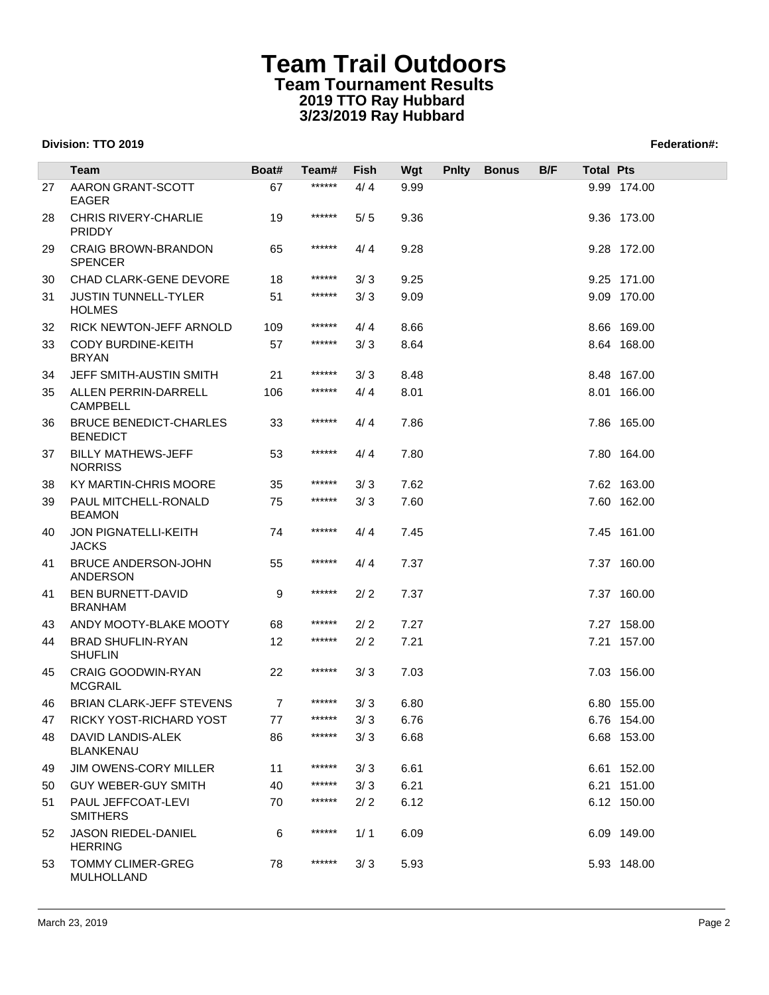|    | Team                                             | Boat# | Team#    | Fish | Wgt  | <b>Pnity</b> | <b>Bonus</b> | B/F | <b>Total Pts</b> |             |
|----|--------------------------------------------------|-------|----------|------|------|--------------|--------------|-----|------------------|-------------|
| 27 | AARON GRANT-SCOTT<br><b>EAGER</b>                | 67    | ******   | 4/4  | 9.99 |              |              |     |                  | 9.99 174.00 |
| 28 | <b>CHRIS RIVERY-CHARLIE</b><br><b>PRIDDY</b>     | 19    | ******   | 5/5  | 9.36 |              |              |     |                  | 9.36 173.00 |
| 29 | <b>CRAIG BROWN-BRANDON</b><br><b>SPENCER</b>     | 65    | ******   | 4/4  | 9.28 |              |              |     |                  | 9.28 172.00 |
| 30 | <b>CHAD CLARK-GENE DEVORE</b>                    | 18    | ******   | 3/3  | 9.25 |              |              |     |                  | 9.25 171.00 |
| 31 | <b>JUSTIN TUNNELL-TYLER</b><br><b>HOLMES</b>     | 51    | ******   | 3/3  | 9.09 |              |              |     |                  | 9.09 170.00 |
| 32 | RICK NEWTON-JEFF ARNOLD                          | 109   | ******   | 4/4  | 8.66 |              |              |     |                  | 8.66 169.00 |
| 33 | <b>CODY BURDINE-KEITH</b><br><b>BRYAN</b>        | 57    | ******   | 3/3  | 8.64 |              |              |     |                  | 8.64 168.00 |
| 34 | JEFF SMITH-AUSTIN SMITH                          | 21    | ******   | 3/3  | 8.48 |              |              |     |                  | 8.48 167.00 |
| 35 | ALLEN PERRIN-DARRELL<br><b>CAMPBELL</b>          | 106   | ******   | 4/4  | 8.01 |              |              |     |                  | 8.01 166.00 |
| 36 | <b>BRUCE BENEDICT-CHARLES</b><br><b>BENEDICT</b> | 33    | ******   | 4/4  | 7.86 |              |              |     |                  | 7.86 165.00 |
| 37 | <b>BILLY MATHEWS-JEFF</b><br><b>NORRISS</b>      | 53    | ******   | 4/4  | 7.80 |              |              |     |                  | 7.80 164.00 |
| 38 | KY MARTIN-CHRIS MOORE                            | 35    | ******   | 3/3  | 7.62 |              |              |     |                  | 7.62 163.00 |
| 39 | PAUL MITCHELL-RONALD<br><b>BEAMON</b>            | 75    | ******   | 3/3  | 7.60 |              |              |     |                  | 7.60 162.00 |
| 40 | JON PIGNATELLI-KEITH<br><b>JACKS</b>             | 74    | ******   | 4/4  | 7.45 |              |              |     |                  | 7.45 161.00 |
| 41 | <b>BRUCE ANDERSON-JOHN</b><br>ANDERSON           | 55    | ******   | 4/4  | 7.37 |              |              |     |                  | 7.37 160.00 |
| 41 | <b>BEN BURNETT-DAVID</b><br><b>BRANHAM</b>       | 9     | ******   | 2/2  | 7.37 |              |              |     |                  | 7.37 160.00 |
| 43 | ANDY MOOTY-BLAKE MOOTY                           | 68    | ******   | 2/2  | 7.27 |              |              |     |                  | 7.27 158.00 |
| 44 | <b>BRAD SHUFLIN-RYAN</b><br><b>SHUFLIN</b>       | 12    | ******   | 2/2  | 7.21 |              |              |     |                  | 7.21 157.00 |
| 45 | <b>CRAIG GOODWIN-RYAN</b><br><b>MCGRAIL</b>      | 22    | ******   | 3/3  | 7.03 |              |              |     |                  | 7.03 156.00 |
| 46 | <b>BRIAN CLARK-JEFF STEVENS</b>                  | 7     | ******   | 3/3  | 6.80 |              |              |     |                  | 6.80 155.00 |
| 47 | RICKY YOST-RICHARD YOST                          | 77    | $******$ | 3/3  | 6.76 |              |              |     |                  | 6.76 154.00 |
| 48 | DAVID LANDIS-ALEK<br><b>BLANKENAU</b>            | 86    | ******   | 3/3  | 6.68 |              |              |     |                  | 6.68 153.00 |
| 49 | JIM OWENS-CORY MILLER                            | 11    | ******   | 3/3  | 6.61 |              |              |     |                  | 6.61 152.00 |
| 50 | <b>GUY WEBER-GUY SMITH</b>                       | 40    | ******   | 3/3  | 6.21 |              |              |     |                  | 6.21 151.00 |
| 51 | PAUL JEFFCOAT-LEVI<br><b>SMITHERS</b>            | 70    | ******   | 2/2  | 6.12 |              |              |     |                  | 6.12 150.00 |
| 52 | JASON RIEDEL-DANIEL<br><b>HERRING</b>            | 6     | ******   | 1/1  | 6.09 |              |              |     |                  | 6.09 149.00 |
| 53 | <b>TOMMY CLIMER-GREG</b><br>MULHOLLAND           | 78    | ******   | 3/3  | 5.93 |              |              |     |                  | 5.93 148.00 |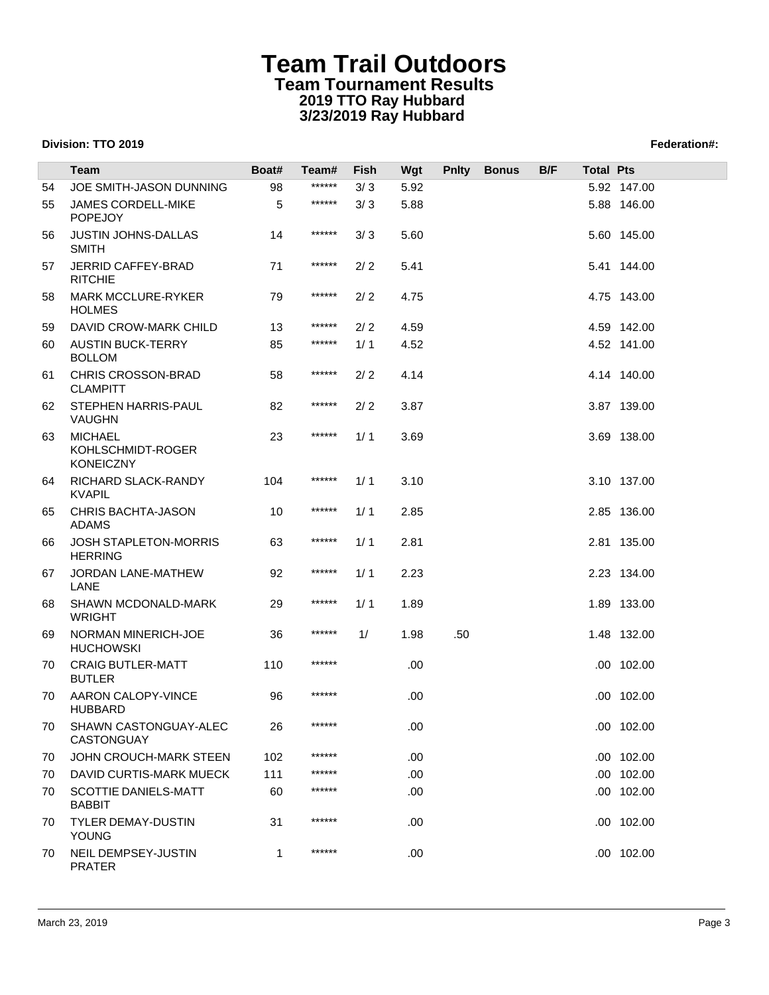|    | <b>Team</b>                                             | Boat# | Team#  | Fish | Wgt  | <b>Pnity</b> | <b>Bonus</b> | B/F | <b>Total Pts</b> |             |
|----|---------------------------------------------------------|-------|--------|------|------|--------------|--------------|-----|------------------|-------------|
| 54 | JOE SMITH-JASON DUNNING                                 | 98    | ****** | 3/3  | 5.92 |              |              |     |                  | 5.92 147.00 |
| 55 | <b>JAMES CORDELL-MIKE</b>                               | 5     | ****** | 3/3  | 5.88 |              |              |     |                  | 5.88 146.00 |
|    | <b>POPEJOY</b>                                          |       |        |      |      |              |              |     |                  |             |
| 56 | <b>JUSTIN JOHNS-DALLAS</b><br><b>SMITH</b>              | 14    | ****** | 3/3  | 5.60 |              |              |     |                  | 5.60 145.00 |
| 57 | <b>JERRID CAFFEY-BRAD</b><br><b>RITCHIE</b>             | 71    | ****** | 2/2  | 5.41 |              |              |     |                  | 5.41 144.00 |
| 58 | <b>MARK MCCLURE-RYKER</b><br><b>HOLMES</b>              | 79    | ****** | 2/2  | 4.75 |              |              |     |                  | 4.75 143.00 |
| 59 | DAVID CROW-MARK CHILD                                   | 13    | ****** | 2/2  | 4.59 |              |              |     |                  | 4.59 142.00 |
| 60 | <b>AUSTIN BUCK-TERRY</b><br><b>BOLLOM</b>               | 85    | ****** | 1/1  | 4.52 |              |              |     |                  | 4.52 141.00 |
| 61 | CHRIS CROSSON-BRAD<br><b>CLAMPITT</b>                   | 58    | ****** | 2/2  | 4.14 |              |              |     |                  | 4.14 140.00 |
| 62 | STEPHEN HARRIS-PAUL<br>VAUGHN                           | 82    | ****** | 2/2  | 3.87 |              |              |     |                  | 3.87 139.00 |
| 63 | <b>MICHAEL</b><br>KOHLSCHMIDT-ROGER<br><b>KONEICZNY</b> | 23    | ****** | 1/1  | 3.69 |              |              |     |                  | 3.69 138.00 |
| 64 | RICHARD SLACK-RANDY<br><b>KVAPIL</b>                    | 104   | ****** | 1/1  | 3.10 |              |              |     |                  | 3.10 137.00 |
| 65 | <b>CHRIS BACHTA-JASON</b><br><b>ADAMS</b>               | 10    | ****** | 1/1  | 2.85 |              |              |     |                  | 2.85 136.00 |
| 66 | <b>JOSH STAPLETON-MORRIS</b><br><b>HERRING</b>          | 63    | ****** | 1/1  | 2.81 |              |              |     |                  | 2.81 135.00 |
| 67 | JORDAN LANE-MATHEW<br>LANE                              | 92    | ****** | 1/1  | 2.23 |              |              |     |                  | 2.23 134.00 |
| 68 | SHAWN MCDONALD-MARK<br><b>WRIGHT</b>                    | 29    | ****** | 1/1  | 1.89 |              |              |     |                  | 1.89 133.00 |
| 69 | NORMAN MINERICH-JOE<br><b>HUCHOWSKI</b>                 | 36    | ****** | 1/   | 1.98 | .50          |              |     |                  | 1.48 132.00 |
| 70 | <b>CRAIG BUTLER-MATT</b><br><b>BUTLER</b>               | 110   | ****** |      | .00. |              |              |     |                  | .00 102.00  |
| 70 | AARON CALOPY-VINCE<br><b>HUBBARD</b>                    | 96    | ****** |      | .00  |              |              |     |                  | .00 102.00  |
| 70 | SHAWN CASTONGUAY-ALEC<br>CASTONGUAY                     | 26    | ****** |      | .00  |              |              |     |                  | .00 102.00  |
| 70 | JOHN CROUCH-MARK STEEN                                  | 102   | ****** |      | .00. |              |              |     |                  | .00 102.00  |
| 70 | DAVID CURTIS-MARK MUECK                                 | 111   | ****** |      | .00. |              |              |     |                  | .00 102.00  |
| 70 | SCOTTIE DANIELS-MATT<br><b>BABBIT</b>                   | 60    | ****** |      | .00. |              |              |     |                  | .00 102.00  |
| 70 | <b>TYLER DEMAY-DUSTIN</b><br><b>YOUNG</b>               | 31    | ****** |      | .00. |              |              |     |                  | .00 102.00  |
| 70 | NEIL DEMPSEY-JUSTIN<br><b>PRATER</b>                    | 1     | ****** |      | .00. |              |              |     |                  | .00 102.00  |